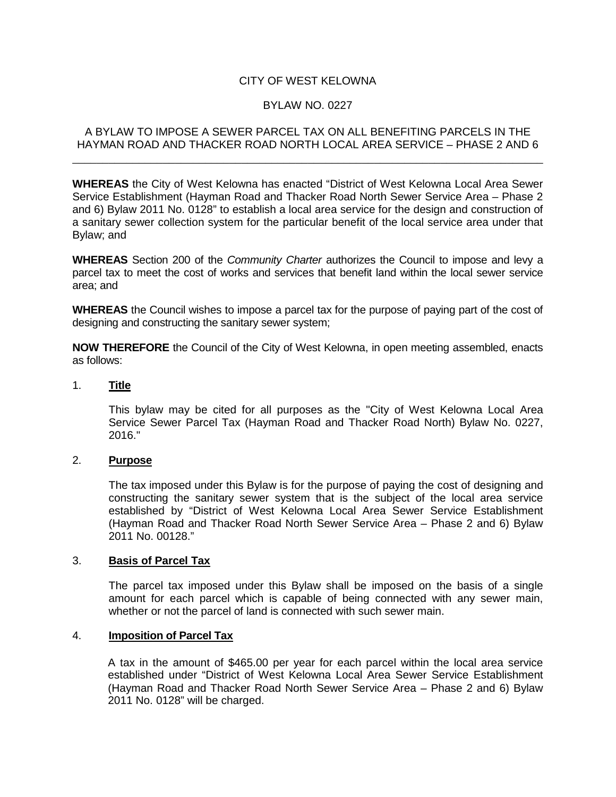# CITY OF WEST KELOWNA

### BYLAW NO. 0227

### A BYLAW TO IMPOSE A SEWER PARCEL TAX ON ALL BENEFITING PARCELS IN THE HAYMAN ROAD AND THACKER ROAD NORTH LOCAL AREA SERVICE – PHASE 2 AND 6

\_\_\_\_\_\_\_\_\_\_\_\_\_\_\_\_\_\_\_\_\_\_\_\_\_\_\_\_\_\_\_\_\_\_\_\_\_\_\_\_\_\_\_\_\_\_\_\_\_\_\_\_\_\_\_\_\_\_\_\_\_\_\_\_\_\_\_\_\_\_\_\_\_\_\_\_\_\_

**WHEREAS** the City of West Kelowna has enacted "District of West Kelowna Local Area Sewer Service Establishment (Hayman Road and Thacker Road North Sewer Service Area – Phase 2 and 6) Bylaw 2011 No. 0128" to establish a local area service for the design and construction of a sanitary sewer collection system for the particular benefit of the local service area under that Bylaw; and

**WHEREAS** Section 200 of the *Community Charter* authorizes the Council to impose and levy a parcel tax to meet the cost of works and services that benefit land within the local sewer service area; and

**WHEREAS** the Council wishes to impose a parcel tax for the purpose of paying part of the cost of designing and constructing the sanitary sewer system;

**NOW THEREFORE** the Council of the City of West Kelowna, in open meeting assembled, enacts as follows:

### 1. **Title**

This bylaw may be cited for all purposes as the "City of West Kelowna Local Area Service Sewer Parcel Tax (Hayman Road and Thacker Road North) Bylaw No. 0227, 2016."

### 2. **Purpose**

The tax imposed under this Bylaw is for the purpose of paying the cost of designing and constructing the sanitary sewer system that is the subject of the local area service established by "District of West Kelowna Local Area Sewer Service Establishment (Hayman Road and Thacker Road North Sewer Service Area – Phase 2 and 6) Bylaw 2011 No. 00128."

#### 3. **Basis of Parcel Tax**

The parcel tax imposed under this Bylaw shall be imposed on the basis of a single amount for each parcel which is capable of being connected with any sewer main, whether or not the parcel of land is connected with such sewer main.

### 4. **Imposition of Parcel Tax**

A tax in the amount of \$465.00 per year for each parcel within the local area service established under "District of West Kelowna Local Area Sewer Service Establishment (Hayman Road and Thacker Road North Sewer Service Area – Phase 2 and 6) Bylaw 2011 No. 0128" will be charged.